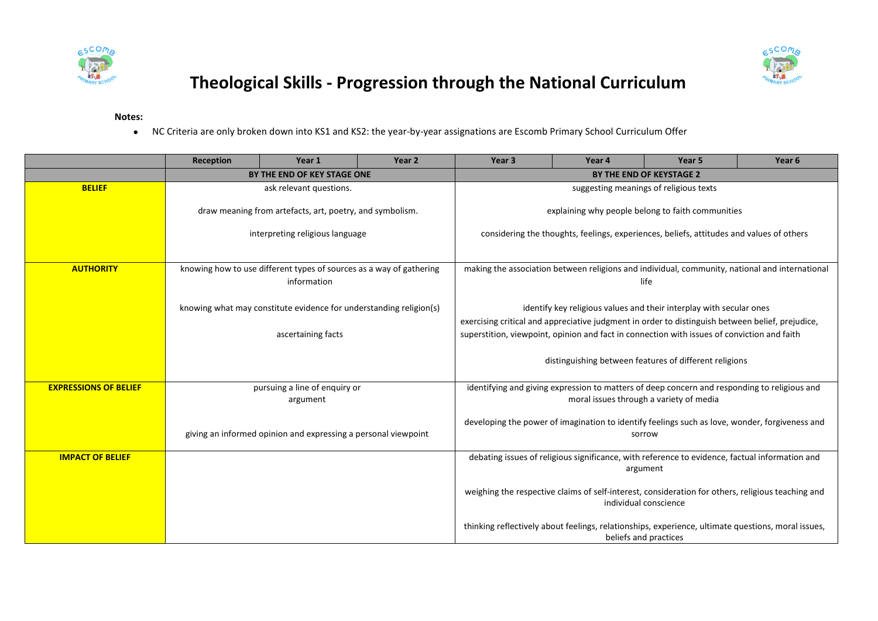



## **Theological Skills - Progression through the National Curriculum**

**Notes:**

NC Criteria are only broken down into KS1 and KS2: the year-by-year assignations are Escomb Primary School Curriculum Offer

|                              | Reception                                                           | Year 1                      | Year 2                                                                                            | Year 3                                                                                                   | Year 4 | Year 5 | Year 6 |  |
|------------------------------|---------------------------------------------------------------------|-----------------------------|---------------------------------------------------------------------------------------------------|----------------------------------------------------------------------------------------------------------|--------|--------|--------|--|
|                              |                                                                     | BY THE END OF KEY STAGE ONE |                                                                                                   | BY THE END OF KEYSTAGE 2                                                                                 |        |        |        |  |
| <b>BELIEF</b>                | ask relevant questions.                                             |                             |                                                                                                   | suggesting meanings of religious texts                                                                   |        |        |        |  |
|                              | draw meaning from artefacts, art, poetry, and symbolism.            |                             |                                                                                                   | explaining why people belong to faith communities                                                        |        |        |        |  |
|                              | interpreting religious language                                     |                             |                                                                                                   | considering the thoughts, feelings, experiences, beliefs, attitudes and values of others                 |        |        |        |  |
|                              |                                                                     |                             |                                                                                                   |                                                                                                          |        |        |        |  |
| <b>AUTHORITY</b>             | knowing how to use different types of sources as a way of gathering |                             |                                                                                                   | making the association between religions and individual, community, national and international           |        |        |        |  |
|                              | information                                                         |                             |                                                                                                   | life                                                                                                     |        |        |        |  |
|                              |                                                                     |                             |                                                                                                   |                                                                                                          |        |        |        |  |
|                              | knowing what may constitute evidence for understanding religion(s)  |                             |                                                                                                   | identify key religious values and their interplay with secular ones                                      |        |        |        |  |
|                              |                                                                     |                             |                                                                                                   | exercising critical and appreciative judgment in order to distinguish between belief, prejudice,         |        |        |        |  |
|                              | ascertaining facts                                                  |                             |                                                                                                   | superstition, viewpoint, opinion and fact in connection with issues of conviction and faith              |        |        |        |  |
|                              |                                                                     |                             | distinguishing between features of different religions                                            |                                                                                                          |        |        |        |  |
|                              |                                                                     |                             |                                                                                                   |                                                                                                          |        |        |        |  |
| <b>EXPRESSIONS OF BELIEF</b> | pursuing a line of enquiry or                                       |                             | identifying and giving expression to matters of deep concern and responding to religious and      |                                                                                                          |        |        |        |  |
|                              | argument                                                            |                             |                                                                                                   | moral issues through a variety of media                                                                  |        |        |        |  |
|                              |                                                                     |                             |                                                                                                   |                                                                                                          |        |        |        |  |
|                              | giving an informed opinion and expressing a personal viewpoint      |                             |                                                                                                   | developing the power of imagination to identify feelings such as love, wonder, forgiveness and<br>sorrow |        |        |        |  |
|                              |                                                                     |                             |                                                                                                   |                                                                                                          |        |        |        |  |
| <b>IMPACT OF BELIEF</b>      |                                                                     |                             | debating issues of religious significance, with reference to evidence, factual information and    |                                                                                                          |        |        |        |  |
|                              |                                                                     |                             | argument                                                                                          |                                                                                                          |        |        |        |  |
|                              |                                                                     |                             | weighing the respective claims of self-interest, consideration for others, religious teaching and |                                                                                                          |        |        |        |  |
|                              |                                                                     |                             |                                                                                                   | individual conscience                                                                                    |        |        |        |  |
|                              |                                                                     |                             |                                                                                                   |                                                                                                          |        |        |        |  |
|                              |                                                                     |                             |                                                                                                   | thinking reflectively about feelings, relationships, experience, ultimate questions, moral issues,       |        |        |        |  |
|                              |                                                                     |                             |                                                                                                   | beliefs and practices                                                                                    |        |        |        |  |